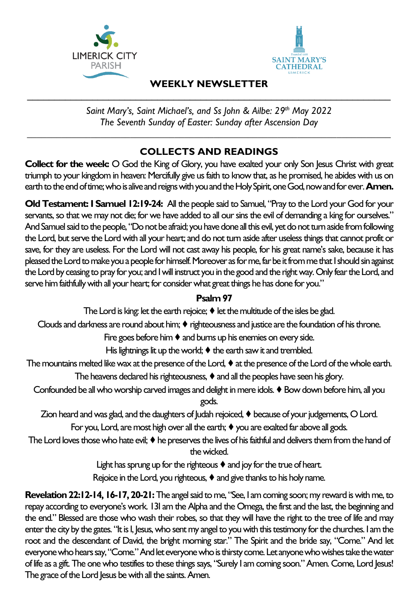



### **WEEKLY NEWSLETTER**  $\mathcal{L}_\text{max}$  , and the contract of the contract of the contract of the contract of the contract of the contract of the contract of the contract of the contract of the contract of the contract of the contract of the contr

*Saint Mary's, Saint Michael's, and Ss John & Ailbe: 29 th May 2022 The Seventh Sunday of Easter: Sunday after Ascension Day*

*\_\_\_\_\_\_\_\_\_\_\_\_\_\_\_\_\_\_\_\_\_\_\_\_\_\_\_\_\_\_\_\_\_\_\_\_\_\_\_\_\_\_\_\_\_\_\_\_\_\_\_\_\_\_\_\_\_\_\_\_\_\_\_\_\_\_\_\_\_\_\_\_\_\_*

# **COLLECTS AND READINGS**

**Collect for the week:** O God the King of Glory, you have exalted your only Son Jesus Christ with great triumph to your kingdom in heaven: Mercifully give us faith to know that, as he promised, he abides with us on earth to the end of time; who is alive and reigns with you and the Holy Spirit, one God, now and for ever.**Amen.**

**Old Testament: I Samuel 12:19-24:** All the people said to Samuel, "Pray to the Lord your God for your servants, so that we may not die; for we have added to all our sins the evil of demanding a king for ourselves." And Samuel said to the people, "Do not be afraid; you have done all this evil, yet do not turn aside from following the Lord, but serve the Lord with all your heart; and do not turn aside after useless things that cannot profit or save, for they are useless. For the Lord will not cast away his people, for his great name's sake, because it has pleased the Lord to make you a people for himself. Moreover as for me, far be it from me that I should sin against the Lord by ceasing to pray for you; and I will instruct you in the good and the right way. Only fear the Lord, and serve him faithfully with all your heart; for consider what great things he has done for you."

## **Psalm 97**

The Lord is king: let the earth rejoice;  $\blacklozenge$  let the multitude of the isles be glad.

Clouds and darkness are round about him; ♦︎righteousness and justice are the foundation of his throne.

Fire goes before him  $\blacklozenge$  and burns up his enemies on every side.

His lightnings lit up the world;  $\blacklozenge$  the earth saw it and trembled.

The mountains melted like wax at the presence of the Lord,  $\blacklozenge$  at the presence of the Lord of the whole earth. The heavens declared his righteousness, ♦ and all the peoples have seen his glory.

Confounded be all who worship carved images and delight in mere idols. ♦ Bow down before him, all you gods.

Zion heard and was glad, and the daughters of Judah rejoiced, ♦︎because of your judgements, O Lord.

For you, Lord, are most high over all the earth; ♦︎you are exalted far above all gods.

The Lord loves those who hate evil; ♦︎he preserves the lives of his faithful and delivers them from the hand of the wicked.

Light has sprung up for the righteous  $\blacklozenge$  and joy for the true of heart.

Rejoice in the Lord, you righteous, ♦︎and give thanks to his holy name.

**Revelation 22:12-14, 16-17, 20-21:** The angel said to me, "See, I am coming soon; my reward is with me, to repay according to everyone's work. 13I am the Alpha and the Omega, the first and the last, the beginning and the end." Blessed are those who wash their robes, so that they will have the right to the tree of life and may enter the city by the gates. "It is I, Jesus, who sent my angel to you with this testimony for the churches. I am the root and the descendant of David, the bright morning star." The Spirit and the bride say, "Come." And let everyone who hears say, "Come." And let everyone who is thirsty come.Let anyone who wishes take the water of life as a gift. The one who testifies to these things says, "Surely I am coming soon." Amen. Come, Lord Jesus! The grace of the Lord Jesus be with all the saints. Amen.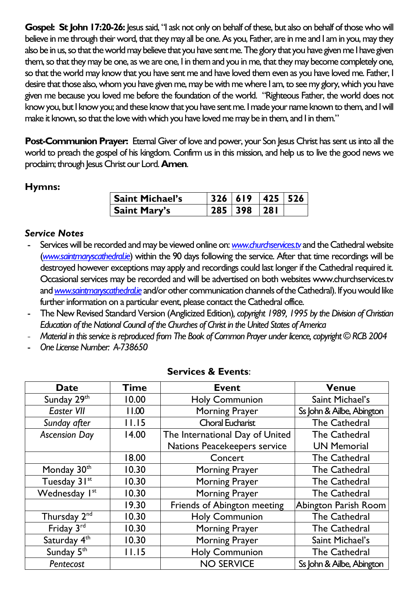**Gospel: St John 17:20-26:** lesus said, "I ask not only on behalf of these, but also on behalf of those who will believe in me through their word, that they may all be one. As you, Father, are in me and I am in you, may they also be in us, so that the world may believe that you have sent me. The glory that you have given me I have given them, so that they may be one, as we are one, I in them and you in me, that they may become completely one, so that the world may know that you have sent me and have loved them even as you have loved me. Father, I desire that those also, whom you have given me, may be with me where I am, to see my glory, which you have given me because you loved me before the foundation of the world. "Righteous Father, the world does not know you, but I know you; and these know that you have sent me. I made your name known to them, and I will make it known, so that the love with which you have loved me may be in them, and I in them."

**Post-Communion Prayer:** Eternal Giver of love and power, your Son Jesus Christ has sent us into all the world to preach the gospel of his kingdom. Confirm us in this mission, and help us to live the good news we proclaim; through Jesus Christ our Lord.**Amen**.

### **Hymns:**

| Saint Michael's | $326 \mid 619 \mid 425 \mid 526$ |  |
|-----------------|----------------------------------|--|
| Saint Mary's    | $285$   398   281                |  |

#### *Service Notes*

- Services will be recorded and may be viewed online on: *[www.churchservices.tv](http://www.churchservices.tv/)* and the Cathedral website (*[www.saintmaryscathedral.ie](http://www.saintmaryscathedral.ie/)*) within the 90 days following the service. After that time recordings will be destroyed however exceptions may apply and recordings could last longer if the Cathedral required it. Occasional services may be recorded and will be advertised on both websites www.churchservices.tv and *[www.saintmaryscathedral.ie](http://www.saintmaryscathedral.ie/)* and/or other communication channels of the Cathedral). If you would like further information on a particular event, please contact the Cathedral office.
- The New Revised Standard Version (Anglicized Edition)*, copyright 1989, 1995 by the Division of Christian Education of the National Council of the Churches of Christ in the United States of America*
- *Material in this service is reproduced from The Book of Common Prayer under licence, copyright © RCB 2004*
- *One License Number: A-738650*

| <b>Date</b>              | <b>Time</b> | <b>Event</b>                    | <b>Venue</b>              |  |
|--------------------------|-------------|---------------------------------|---------------------------|--|
| Sunday 29th              | 10.00       | <b>Holy Communion</b>           | Saint Michael's           |  |
| <b>Easter VII</b>        | 11.00       | <b>Morning Prayer</b>           | Ss John & Ailbe, Abington |  |
| Sunday after             | 11.15       | <b>Choral Eucharist</b>         | <b>The Cathedral</b>      |  |
| <b>Ascension Day</b>     | 14.00       | The International Day of United | <b>The Cathedral</b>      |  |
|                          |             | Nations Peacekeepers service    | <b>UN Memorial</b>        |  |
|                          | 18.00       | Concert                         | The Cathedral             |  |
| Monday 30 <sup>th</sup>  | 10.30       | <b>Morning Prayer</b>           | <b>The Cathedral</b>      |  |
| Tuesday 31st             | 10.30       | <b>Morning Prayer</b>           | <b>The Cathedral</b>      |  |
| Wednesday Ist            | 10.30       | <b>Morning Prayer</b>           | The Cathedral             |  |
|                          | 19.30       | Friends of Abington meeting     | Abington Parish Room      |  |
| Thursday 2nd             | 10.30       | <b>Holy Communion</b>           | <b>The Cathedral</b>      |  |
| Friday 3rd               | 10.30       | <b>Morning Prayer</b>           | The Cathedral             |  |
| Saturday 4 <sup>th</sup> | 10.30       | Morning Prayer                  | Saint Michael's           |  |
| Sunday 5 <sup>th</sup>   | 11.15       | <b>Holy Communion</b>           | <b>The Cathedral</b>      |  |
| Pentecost                |             | <b>NO SERVICE</b>               | Ss John & Ailbe, Abington |  |

#### **Services & Events**: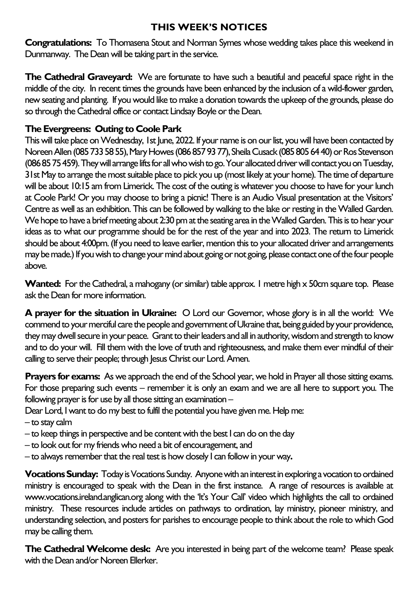## **THIS WEEK'S NOTICES**

**Congratulations:** To Thomasena Stout and Norman Symes whose wedding takes place this weekend in Dunmanway. The Dean will be taking part in the service.

**The Cathedral Graveyard:** We are fortunate to have such a beautiful and peaceful space right in the middle of the city. In recent times the grounds have been enhanced by the inclusion of a wild-flower garden, new seating and planting. If you would like to make a donation towards the upkeep of the grounds, please do so through the Cathedral office or contact Lindsay Boyle or the Dean.

## **The Evergreens: Outing to Coole Park**

This will take place on Wednesday, 1st June, 2022. If your name is on our list, you will have been contacted by Noreen Allen (085 733 58 55), Mary Howes (086 857 93 77), Sheila Cusack (085 805 64 40) or Ros Stevenson (086 85 75 459). They will arrange lifts for all who wish to go. Yourallocated driver will contact you on Tuesday, 31st May to arrange the most suitable place to pick you up (most likely at your home). The time of departure will be about 10:15 am from Limerick. The cost of the outing is whatever you choose to have for your lunch at Coole Park! Or you may choose to bring a picnic! There is an Audio Visual presentation at the Visitors' Centre as well as an exhibition. This can be followed by walking to the lake or resting in the Walled Garden. We hope to have a brief meeting about 2:30 pm at the seating area in the Walled Garden. This is to hear your ideas as to what our programme should be for the rest of the year and into 2023. The return to Limerick should be about 4:00pm. (If you need to leave earlier, mention this to your allocated driver and arrangements may be made.) If you wish to change your mind about going or not going, please contact one of the four people above.

Wanted: For the Cathedral, a mahogany (or similar) table approx. 1 metre high x 50cm square top. Please ask the Dean for more information.

**A prayer for the situation in Ukraine:** O Lord our Governor, whose glory is in all the world: We commend to your merciful care the people and government of Ukraine that, being guided by your providence, they may dwell secure in your peace. Grant to their leaders and all in authority, wisdom and strength to know and to do your will. Fill them with the love of truth and righteousness, and make them ever mindful of their calling to serve their people; through Jesus Christ our Lord. Amen.

**Prayers for exams:** As we approach the end of the School year, we hold in Prayer all those sitting exams. For those preparing such events – remember it is only an exam and we are all here to support you. The following prayer is for use by all those sitting an examination –

Dear Lord, I want to do my best to fulfil the potential you have given me. Help me:

- to stay calm
- to keep things in perspective and be content with the best I can do on the day
- to look out for my friends who need a bit of encouragement, and
- to always remember that the real test is how closely I can follow in your way**.**

**Vocations Sunday:** Todayis Vocations Sunday. Anyone with an interest in exploring a vocation to ordained ministry is encouraged to speak with the Dean in the first instance. A range of resources is available at www.vocations.ireland.anglican.org along with the 'It's Your Call' video which highlights the call to ordained ministry. These resources include articles on pathways to ordination, lay ministry, pioneer ministry, and understanding selection, and posters for parishes to encourage people to think about the role to which God may be calling them.

**The Cathedral Welcome desk:** Are you interested in being part of the welcome team? Please speak with the Dean and/or Noreen Ellerker.